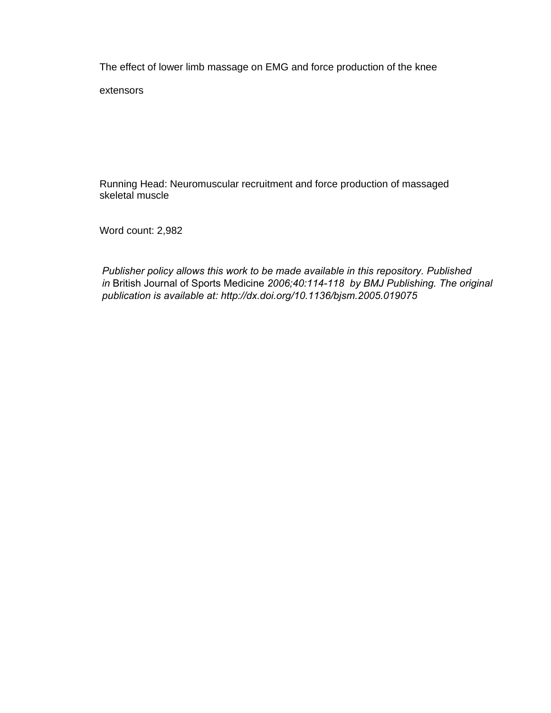The effect of lower limb massage on EMG and force production of the knee

extensors

Running Head: Neuromuscular recruitment and force production of massaged skeletal muscle

Word count: 2,982

*Publisher policy allows this work to be made available in this repository. Published in* British Journal of Sports Medicine *2006;40:114-118 by BMJ Publishing. The original publication is available at: http://dx.doi.org/10.1136/bjsm.2005.019075*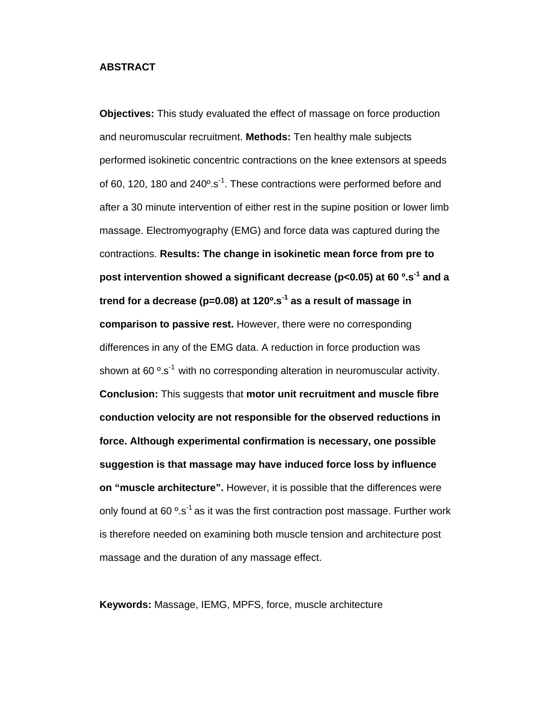# **ABSTRACT**

**Objectives:** This study evaluated the effect of massage on force production and neuromuscular recruitment. **Methods:** Ten healthy male subjects performed isokinetic concentric contractions on the knee extensors at speeds of 60, 120, 180 and  $240^{\circ}$ .s<sup>-1</sup>. These contractions were performed before and after a 30 minute intervention of either rest in the supine position or lower limb massage. Electromyography (EMG) and force data was captured during the contractions. **Results: The change in isokinetic mean force from pre to post intervention showed a significant decrease (p<0.05) at 60 º.s-1 and a trend for a decrease (p=0.08) at 120º.s-1 as a result of massage in comparison to passive rest.** However, there were no corresponding differences in any of the EMG data. A reduction in force production was shown at 60 $\degree$ .s<sup>-1</sup> with no corresponding alteration in neuromuscular activity. **Conclusion:** This suggests that **motor unit recruitment and muscle fibre conduction velocity are not responsible for the observed reductions in force. Although experimental confirmation is necessary, one possible suggestion is that massage may have induced force loss by influence on "muscle architecture".** However, it is possible that the differences were only found at 60 $\degree$ .s<sup>-1</sup> as it was the first contraction post massage. Further work is therefore needed on examining both muscle tension and architecture post massage and the duration of any massage effect.

**Keywords:** Massage, IEMG, MPFS, force, muscle architecture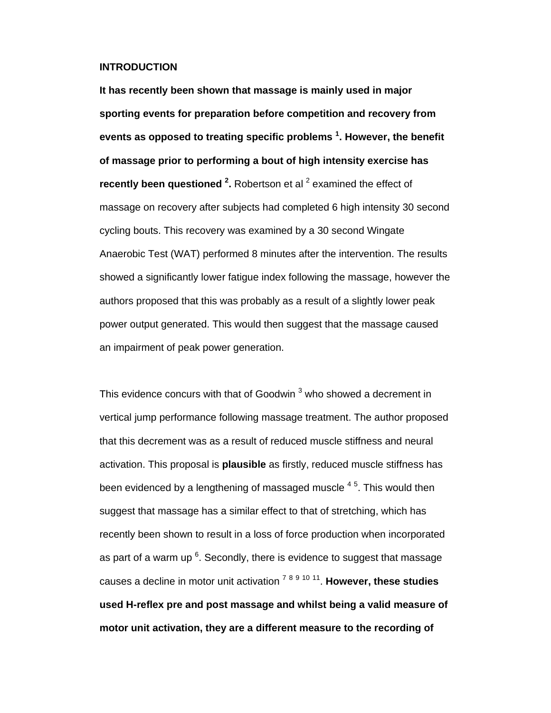#### **INTRODUCTION**

**It has recently been shown that massage is mainly used in major sporting events for preparation before competition and recovery from events as opposed to treating specific problems 1 . However, the benefit of massage prior to performing a bout of high intensity exercise has recently been questioned <sup>2</sup>.** Robertson et al <sup>2</sup> examined the effect of massage on recovery after subjects had completed 6 high intensity 30 second cycling bouts. This recovery was examined by a 30 second Wingate Anaerobic Test (WAT) performed 8 minutes after the intervention. The results showed a significantly lower fatigue index following the massage, however the authors proposed that this was probably as a result of a slightly lower peak power output generated. This would then suggest that the massage caused an impairment of peak power generation.

This evidence concurs with that of Goodwin  $^3$  who showed a decrement in vertical jump performance following massage treatment. The author proposed that this decrement was as a result of reduced muscle stiffness and neural activation. This proposal is **plausible** as firstly, reduced muscle stiffness has been evidenced by a lengthening of massaged muscle  $^{\,4.5}.$  This would then suggest that massage has a similar effect to that of stretching, which has recently been shown to result in a loss of force production when incorporated as part of a warm up  $6$ . Secondly, there is evidence to suggest that massage causes a decline in motor unit activation 7 <sup>8</sup> <sup>9</sup> <sup>10</sup> 11. **However, these studies used H-reflex pre and post massage and whilst being a valid measure of motor unit activation, they are a different measure to the recording of**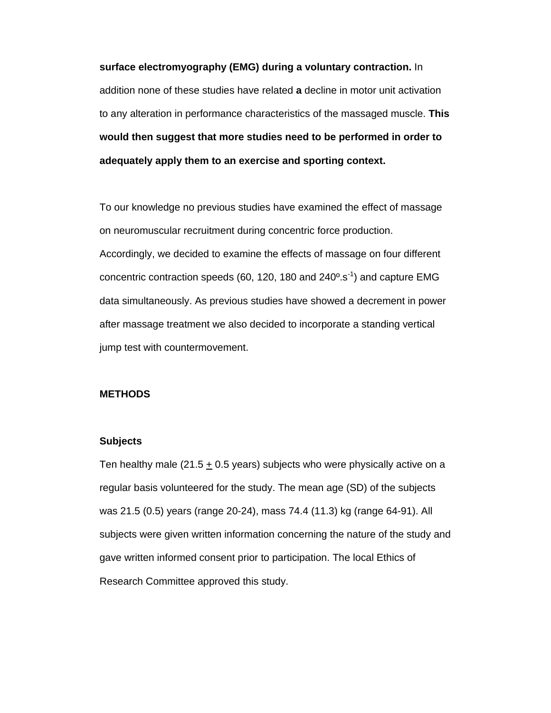**surface electromyography (EMG) during a voluntary contraction.** In addition none of these studies have related **a** decline in motor unit activation to any alteration in performance characteristics of the massaged muscle. **This would then suggest that more studies need to be performed in order to adequately apply them to an exercise and sporting context.**

To our knowledge no previous studies have examined the effect of massage on neuromuscular recruitment during concentric force production. Accordingly, we decided to examine the effects of massage on four different concentric contraction speeds (60, 120, 180 and  $240^{\circ}$ .s<sup>-1</sup>) and capture EMG data simultaneously. As previous studies have showed a decrement in power after massage treatment we also decided to incorporate a standing vertical jump test with countermovement.

#### **METHODS**

#### **Subjects**

Ten healthy male (21.5  $\pm$  0.5 years) subjects who were physically active on a regular basis volunteered for the study. The mean age (SD) of the subjects was 21.5 (0.5) years (range 20-24), mass 74.4 (11.3) kg (range 64-91). All subjects were given written information concerning the nature of the study and gave written informed consent prior to participation. The local Ethics of Research Committee approved this study.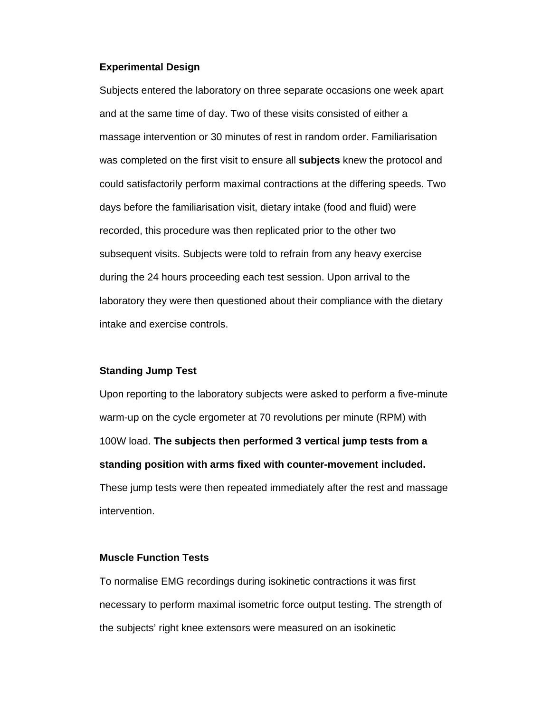#### **Experimental Design**

Subjects entered the laboratory on three separate occasions one week apart and at the same time of day. Two of these visits consisted of either a massage intervention or 30 minutes of rest in random order. Familiarisation was completed on the first visit to ensure all **subjects** knew the protocol and could satisfactorily perform maximal contractions at the differing speeds. Two days before the familiarisation visit, dietary intake (food and fluid) were recorded, this procedure was then replicated prior to the other two subsequent visits. Subjects were told to refrain from any heavy exercise during the 24 hours proceeding each test session. Upon arrival to the laboratory they were then questioned about their compliance with the dietary intake and exercise controls.

# **Standing Jump Test**

Upon reporting to the laboratory subjects were asked to perform a five-minute warm-up on the cycle ergometer at 70 revolutions per minute (RPM) with 100W load. **The subjects then performed 3 vertical jump tests from a standing position with arms fixed with counter-movement included.** These jump tests were then repeated immediately after the rest and massage intervention.

### **Muscle Function Tests**

To normalise EMG recordings during isokinetic contractions it was first necessary to perform maximal isometric force output testing. The strength of the subjects' right knee extensors were measured on an isokinetic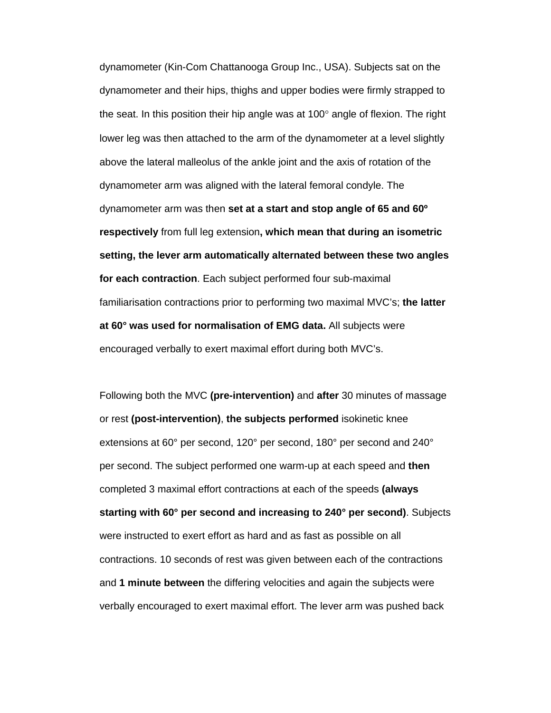dynamometer (Kin-Com Chattanooga Group Inc., USA). Subjects sat on the dynamometer and their hips, thighs and upper bodies were firmly strapped to the seat. In this position their hip angle was at 100° angle of flexion. The right lower leg was then attached to the arm of the dynamometer at a level slightly above the lateral malleolus of the ankle joint and the axis of rotation of the dynamometer arm was aligned with the lateral femoral condyle. The dynamometer arm was then **set at a start and stop angle of 65 and 60º respectively** from full leg extension**, which mean that during an isometric setting, the lever arm automatically alternated between these two angles for each contraction**. Each subject performed four sub-maximal familiarisation contractions prior to performing two maximal MVC's; **the latter at 60° was used for normalisation of EMG data.** All subjects were encouraged verbally to exert maximal effort during both MVC's.

Following both the MVC **(pre-intervention)** and **after** 30 minutes of massage or rest **(post-intervention)**, **the subjects performed** isokinetic knee extensions at 60° per second, 120° per second, 180° per second and 240° per second. The subject performed one warm-up at each speed and **then** completed 3 maximal effort contractions at each of the speeds **(always starting with 60° per second and increasing to 240° per second)**. Subjects were instructed to exert effort as hard and as fast as possible on all contractions. 10 seconds of rest was given between each of the contractions and **1 minute between** the differing velocities and again the subjects were verbally encouraged to exert maximal effort. The lever arm was pushed back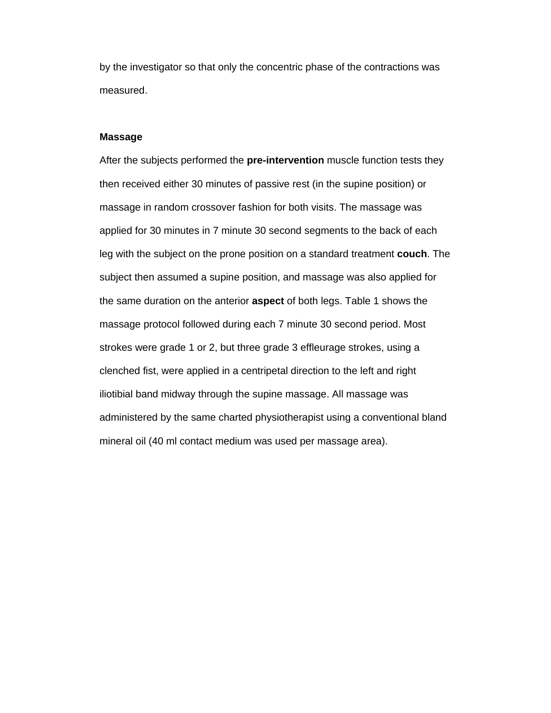by the investigator so that only the concentric phase of the contractions was measured.

#### **Massage**

After the subjects performed the **pre-intervention** muscle function tests they then received either 30 minutes of passive rest (in the supine position) or massage in random crossover fashion for both visits. The massage was applied for 30 minutes in 7 minute 30 second segments to the back of each leg with the subject on the prone position on a standard treatment **couch**. The subject then assumed a supine position, and massage was also applied for the same duration on the anterior **aspect** of both legs. Table 1 shows the massage protocol followed during each 7 minute 30 second period. Most strokes were grade 1 or 2, but three grade 3 effleurage strokes, using a clenched fist, were applied in a centripetal direction to the left and right iliotibial band midway through the supine massage. All massage was administered by the same charted physiotherapist using a conventional bland mineral oil (40 ml contact medium was used per massage area).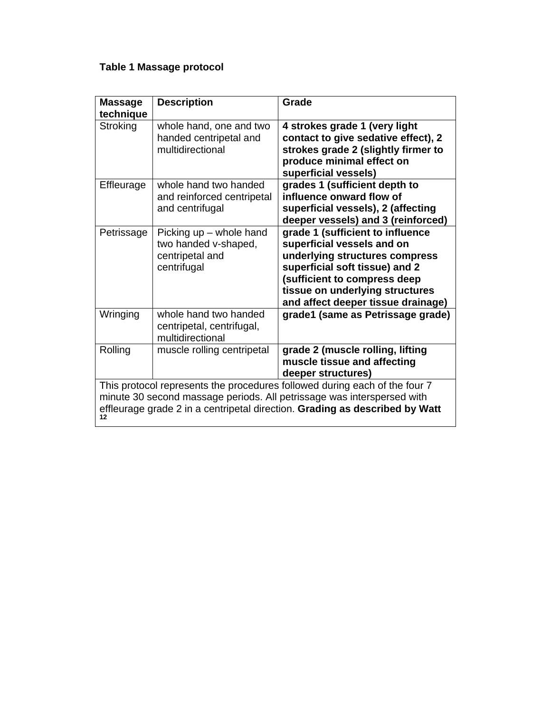# **Table 1 Massage protocol**

| <b>Massage</b><br>technique                                                                                                                                                                                                               | <b>Description</b>                                                                | Grade                                                                                                                                                                                                                                       |
|-------------------------------------------------------------------------------------------------------------------------------------------------------------------------------------------------------------------------------------------|-----------------------------------------------------------------------------------|---------------------------------------------------------------------------------------------------------------------------------------------------------------------------------------------------------------------------------------------|
| Stroking                                                                                                                                                                                                                                  | whole hand, one and two<br>handed centripetal and<br>multidirectional             | 4 strokes grade 1 (very light<br>contact to give sedative effect), 2<br>strokes grade 2 (slightly firmer to<br>produce minimal effect on<br>superficial vessels)                                                                            |
| Effleurage                                                                                                                                                                                                                                | whole hand two handed<br>and reinforced centripetal<br>and centrifugal            | grades 1 (sufficient depth to<br>influence onward flow of<br>superficial vessels), 2 (affecting<br>deeper vessels) and 3 (reinforced)                                                                                                       |
| Petrissage                                                                                                                                                                                                                                | Picking up - whole hand<br>two handed v-shaped,<br>centripetal and<br>centrifugal | grade 1 (sufficient to influence<br>superficial vessels and on<br>underlying structures compress<br>superficial soft tissue) and 2<br>(sufficient to compress deep<br>tissue on underlying structures<br>and affect deeper tissue drainage) |
| Wringing                                                                                                                                                                                                                                  | whole hand two handed<br>centripetal, centrifugal,<br>multidirectional            | grade1 (same as Petrissage grade)                                                                                                                                                                                                           |
| Rolling                                                                                                                                                                                                                                   | muscle rolling centripetal                                                        | grade 2 (muscle rolling, lifting<br>muscle tissue and affecting<br>deeper structures)                                                                                                                                                       |
| This protocol represents the procedures followed during each of the four 7<br>minute 30 second massage periods. All petrissage was interspersed with<br>effleurage grade 2 in a centripetal direction. Grading as described by Watt<br>12 |                                                                                   |                                                                                                                                                                                                                                             |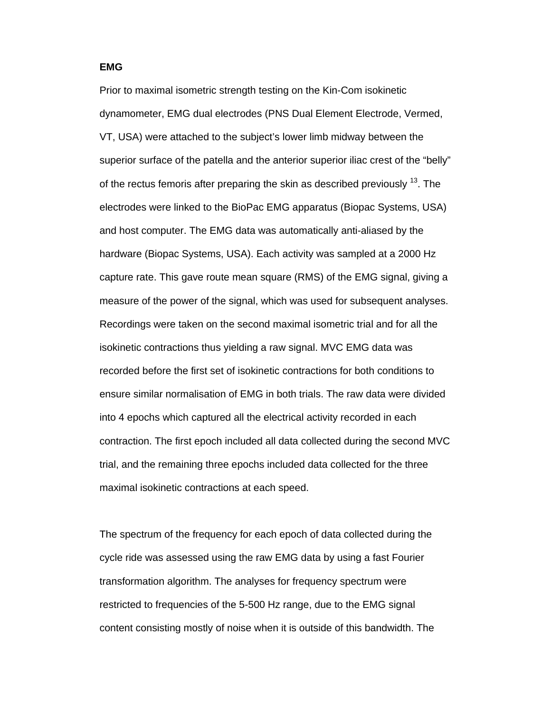#### **EMG**

Prior to maximal isometric strength testing on the Kin-Com isokinetic dynamometer, EMG dual electrodes (PNS Dual Element Electrode, Vermed, VT, USA) were attached to the subject's lower limb midway between the superior surface of the patella and the anterior superior iliac crest of the "belly" of the rectus femoris after preparing the skin as described previously <sup>13</sup>. The electrodes were linked to the BioPac EMG apparatus (Biopac Systems, USA) and host computer. The EMG data was automatically anti-aliased by the hardware (Biopac Systems, USA). Each activity was sampled at a 2000 Hz capture rate. This gave route mean square (RMS) of the EMG signal, giving a measure of the power of the signal, which was used for subsequent analyses. Recordings were taken on the second maximal isometric trial and for all the isokinetic contractions thus yielding a raw signal. MVC EMG data was recorded before the first set of isokinetic contractions for both conditions to ensure similar normalisation of EMG in both trials. The raw data were divided into 4 epochs which captured all the electrical activity recorded in each contraction. The first epoch included all data collected during the second MVC trial, and the remaining three epochs included data collected for the three maximal isokinetic contractions at each speed.

The spectrum of the frequency for each epoch of data collected during the cycle ride was assessed using the raw EMG data by using a fast Fourier transformation algorithm. The analyses for frequency spectrum were restricted to frequencies of the 5-500 Hz range, due to the EMG signal content consisting mostly of noise when it is outside of this bandwidth. The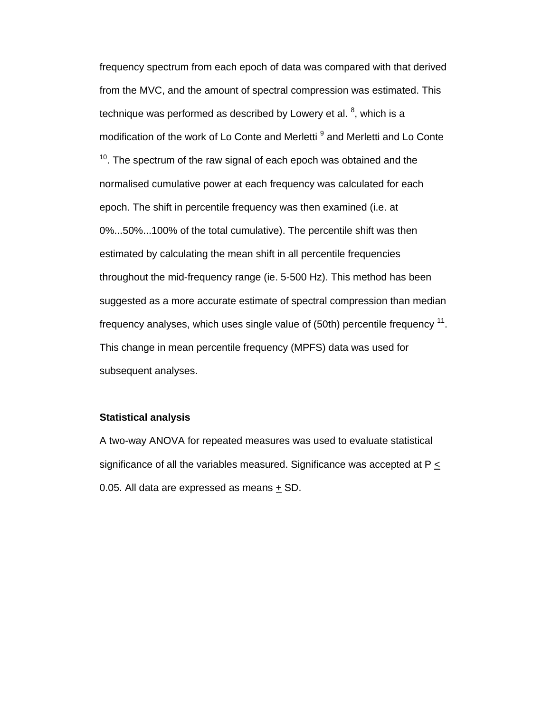frequency spectrum from each epoch of data was compared with that derived from the MVC, and the amount of spectral compression was estimated. This technique was performed as described by Lowery et al. <sup>8</sup>, which is a modification of the work of Lo Conte and Merletti<sup>9</sup> and Merletti and Lo Conte  $10$ . The spectrum of the raw signal of each epoch was obtained and the normalised cumulative power at each frequency was calculated for each epoch. The shift in percentile frequency was then examined (i.e. at 0%...50%...100% of the total cumulative). The percentile shift was then estimated by calculating the mean shift in all percentile frequencies throughout the mid-frequency range (ie. 5-500 Hz). This method has been suggested as a more accurate estimate of spectral compression than median frequency analyses, which uses single value of  $(50th)$  percentile frequency  $11$ . This change in mean percentile frequency (MPFS) data was used for subsequent analyses.

# **Statistical analysis**

A two-way ANOVA for repeated measures was used to evaluate statistical significance of all the variables measured. Significance was accepted at  $P \leq$ 0.05. All data are expressed as means + SD.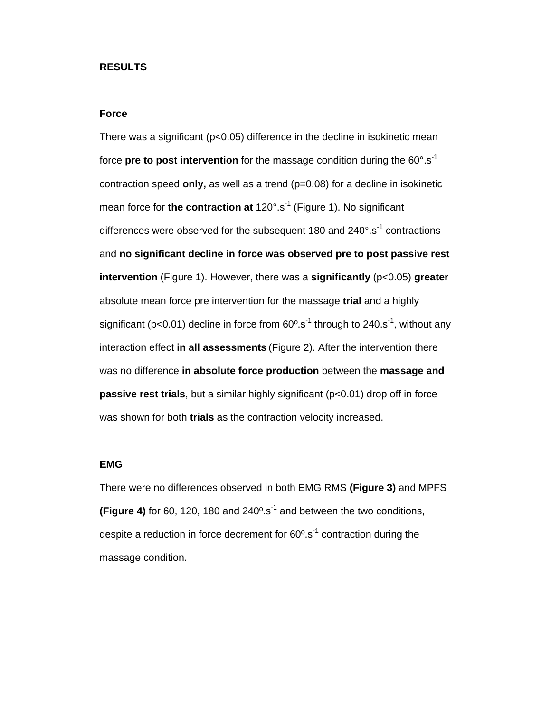#### **RESULTS**

# **Force**

There was a significant ( $p < 0.05$ ) difference in the decline in isokinetic mean force **pre to post intervention** for the massage condition during the 60°.s-1 contraction speed **only,** as well as a trend (p=0.08) for a decline in isokinetic mean force for **the contraction at** 120°.s<sup>-1</sup> (Figure 1). No significant differences were observed for the subsequent 180 and  $240^{\circ}$ .s<sup>-1</sup> contractions and **no significant decline in force was observed pre to post passive rest intervention** (Figure 1). However, there was a **significantly** (p<0.05) **greater** absolute mean force pre intervention for the massage **trial** and a highly significant ( $p < 0.01$ ) decline in force from  $60^\circ$ .s<sup>-1</sup> through to 240.s<sup>-1</sup>, without any interaction effect **in all assessments** (Figure 2). After the intervention there was no difference **in absolute force production** between the **massage and passive rest trials**, but a similar highly significant (p<0.01) drop off in force was shown for both **trials** as the contraction velocity increased.

### **EMG**

There were no differences observed in both EMG RMS **(Figure 3)** and MPFS **(Figure 4)** for 60, 120, 180 and  $240^\circ$ .s<sup>-1</sup> and between the two conditions, despite a reduction in force decrement for  $60^\circ$ .s<sup>-1</sup> contraction during the massage condition.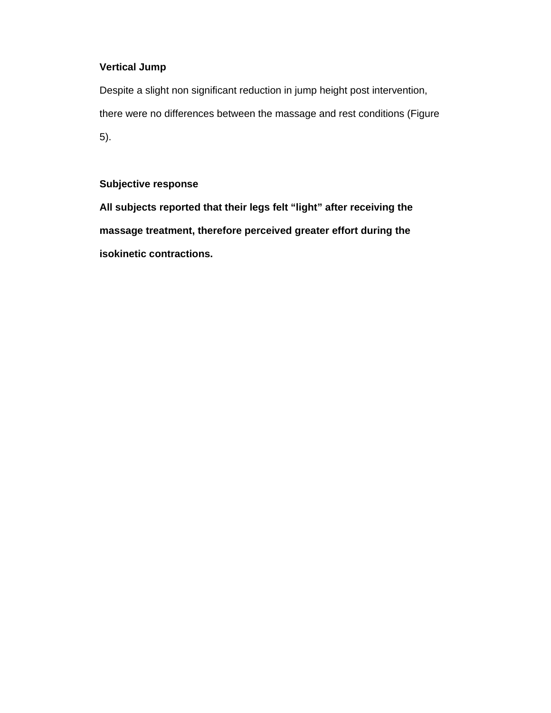# **Vertical Jump**

Despite a slight non significant reduction in jump height post intervention, there were no differences between the massage and rest conditions (Figure 5).

# **Subjective response**

**All subjects reported that their legs felt "light" after receiving the massage treatment, therefore perceived greater effort during the isokinetic contractions.**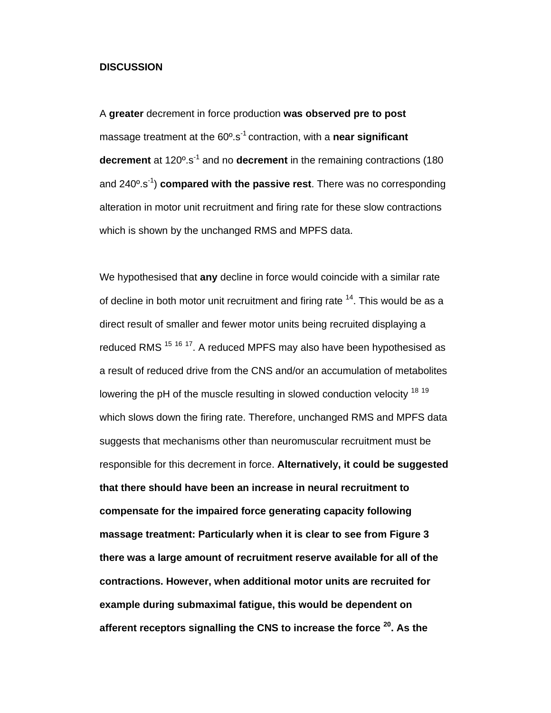#### **DISCUSSION**

A **greater** decrement in force production **was observed pre to post**  massage treatment at the 60º.s-1 contraction, with a **near significant decrement** at 120<sup>°</sup>.s<sup>-1</sup> and no **decrement** in the remaining contractions (180) and 240º.s-1) **compared with the passive rest**. There was no corresponding alteration in motor unit recruitment and firing rate for these slow contractions which is shown by the unchanged RMS and MPFS data.

We hypothesised that **any** decline in force would coincide with a similar rate of decline in both motor unit recruitment and firing rate  $14$ . This would be as a direct result of smaller and fewer motor units being recruited displaying a reduced RMS<sup>15 16</sup><sup>17</sup>. A reduced MPFS may also have been hypothesised as a result of reduced drive from the CNS and/or an accumulation of metabolites lowering the pH of the muscle resulting in slowed conduction velocity <sup>18 19</sup> which slows down the firing rate. Therefore, unchanged RMS and MPFS data suggests that mechanisms other than neuromuscular recruitment must be responsible for this decrement in force. **Alternatively, it could be suggested that there should have been an increase in neural recruitment to compensate for the impaired force generating capacity following massage treatment: Particularly when it is clear to see from Figure 3 there was a large amount of recruitment reserve available for all of the contractions. However, when additional motor units are recruited for example during submaximal fatigue, this would be dependent on afferent receptors signalling the CNS to increase the force 20. As the**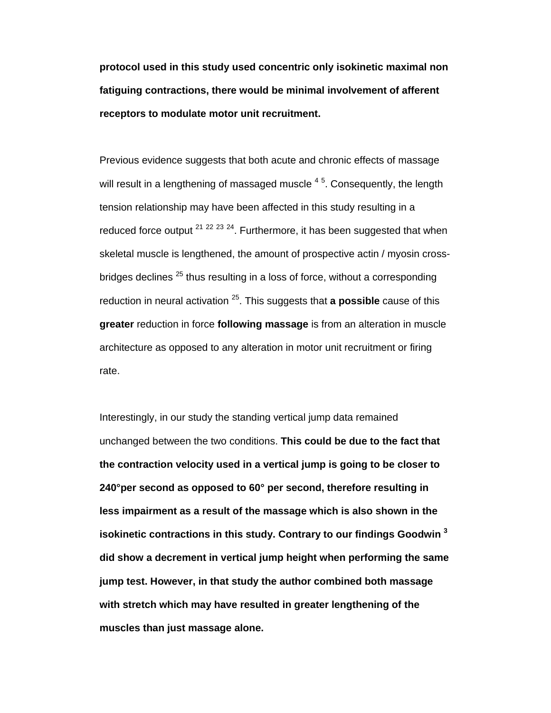**protocol used in this study used concentric only isokinetic maximal non fatiguing contractions, there would be minimal involvement of afferent receptors to modulate motor unit recruitment.**

Previous evidence suggests that both acute and chronic effects of massage will result in a lengthening of massaged muscle  $^{\,4.5}.$  Consequently, the length tension relationship may have been affected in this study resulting in a reduced force output  $21$   $22$   $23$   $24$ . Furthermore, it has been suggested that when skeletal muscle is lengthened, the amount of prospective actin / myosin crossbridges declines  $^{25}$  thus resulting in a loss of force, without a corresponding reduction in neural activation 25. This suggests that **a possible** cause of this **greater** reduction in force **following massage** is from an alteration in muscle architecture as opposed to any alteration in motor unit recruitment or firing rate.

Interestingly, in our study the standing vertical jump data remained unchanged between the two conditions. **This could be due to the fact that the contraction velocity used in a vertical jump is going to be closer to 240°per second as opposed to 60° per second, therefore resulting in less impairment as a result of the massage which is also shown in the isokinetic contractions in this study. Contrary to our findings Goodwin 3 did show a decrement in vertical jump height when performing the same jump test. However, in that study the author combined both massage with stretch which may have resulted in greater lengthening of the muscles than just massage alone.**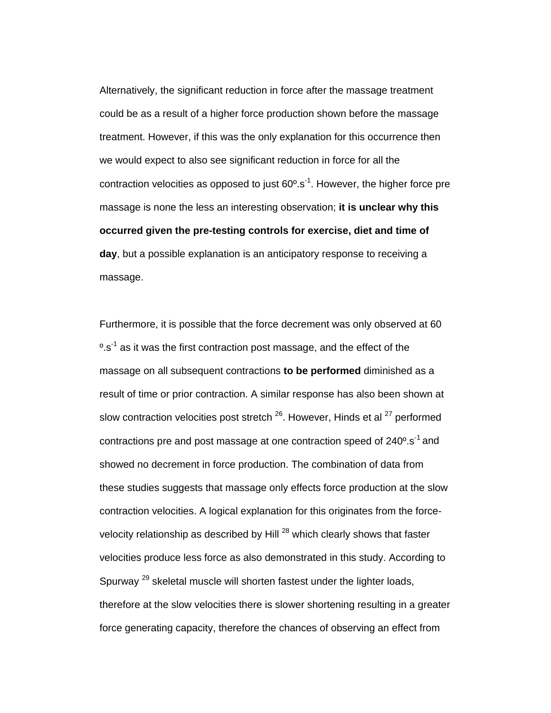Alternatively, the significant reduction in force after the massage treatment could be as a result of a higher force production shown before the massage treatment. However, if this was the only explanation for this occurrence then we would expect to also see significant reduction in force for all the contraction velocities as opposed to just  $60^\circ$ .s<sup>-1</sup>. However, the higher force pre massage is none the less an interesting observation; **it is unclear why this occurred given the pre-testing controls for exercise, diet and time of day**, but a possible explanation is an anticipatory response to receiving a massage.

Furthermore, it is possible that the force decrement was only observed at 60  $\mathrm{e}$ .s<sup>-1</sup> as it was the first contraction post massage, and the effect of the massage on all subsequent contractions **to be performed** diminished as a result of time or prior contraction. A similar response has also been shown at slow contraction velocities post stretch  $^{26}$ . However, Hinds et al  $^{27}$  performed contractions pre and post massage at one contraction speed of 240°.s<sup>-1</sup> and showed no decrement in force production. The combination of data from these studies suggests that massage only effects force production at the slow contraction velocities. A logical explanation for this originates from the forcevelocity relationship as described by Hill  $^{28}$  which clearly shows that faster velocities produce less force as also demonstrated in this study. According to Spurway<sup>29</sup> skeletal muscle will shorten fastest under the lighter loads, therefore at the slow velocities there is slower shortening resulting in a greater force generating capacity, therefore the chances of observing an effect from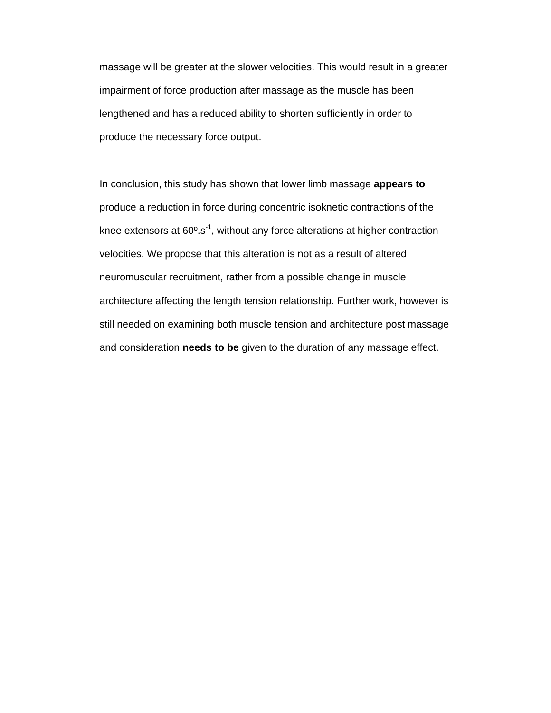massage will be greater at the slower velocities. This would result in a greater impairment of force production after massage as the muscle has been lengthened and has a reduced ability to shorten sufficiently in order to produce the necessary force output.

In conclusion, this study has shown that lower limb massage **appears to** produce a reduction in force during concentric isoknetic contractions of the knee extensors at  $60^{\circ}$ .s<sup>-1</sup>, without any force alterations at higher contraction velocities. We propose that this alteration is not as a result of altered neuromuscular recruitment, rather from a possible change in muscle architecture affecting the length tension relationship. Further work, however is still needed on examining both muscle tension and architecture post massage and consideration **needs to be** given to the duration of any massage effect.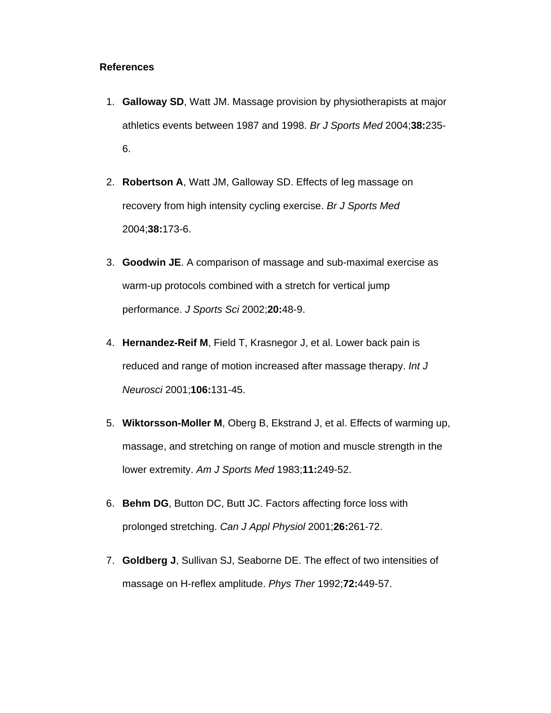### **References**

- 1. **Galloway SD**, Watt JM. Massage provision by physiotherapists at major athletics events between 1987 and 1998. *Br J Sports Med* 2004;**38:**235- 6.
- 2. **Robertson A**, Watt JM, Galloway SD. Effects of leg massage on recovery from high intensity cycling exercise. *Br J Sports Med*  2004;**38:**173-6.
- 3. **Goodwin JE**. A comparison of massage and sub-maximal exercise as warm-up protocols combined with a stretch for vertical jump performance. *J Sports Sci* 2002;**20:**48-9.
- 4. **Hernandez-Reif M**, Field T, Krasnegor J, et al. Lower back pain is reduced and range of motion increased after massage therapy. *Int J Neurosci* 2001;**106:**131-45.
- 5. **Wiktorsson-Moller M**, Oberg B, Ekstrand J, et al. Effects of warming up, massage, and stretching on range of motion and muscle strength in the lower extremity. *Am J Sports Med* 1983;**11:**249-52.
- 6. **Behm DG**, Button DC, Butt JC. Factors affecting force loss with prolonged stretching. *Can J Appl Physiol* 2001;**26:**261-72.
- 7. **Goldberg J**, Sullivan SJ, Seaborne DE. The effect of two intensities of massage on H-reflex amplitude. *Phys Ther* 1992;**72:**449-57.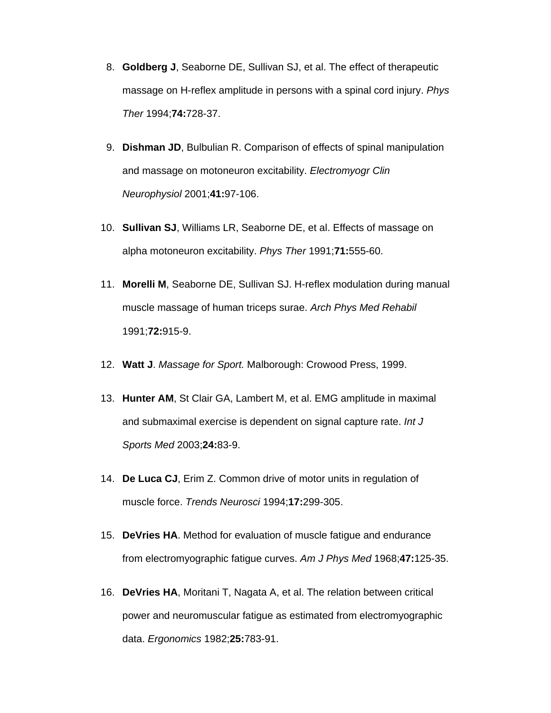- 8. **Goldberg J**, Seaborne DE, Sullivan SJ, et al. The effect of therapeutic massage on H-reflex amplitude in persons with a spinal cord injury. *Phys Ther* 1994;**74:**728-37.
- 9. **Dishman JD**, Bulbulian R. Comparison of effects of spinal manipulation and massage on motoneuron excitability. *Electromyogr Clin Neurophysiol* 2001;**41:**97-106.
- 10. **Sullivan SJ**, Williams LR, Seaborne DE, et al. Effects of massage on alpha motoneuron excitability. *Phys Ther* 1991;**71:**555-60.
- 11. **Morelli M**, Seaborne DE, Sullivan SJ. H-reflex modulation during manual muscle massage of human triceps surae. *Arch Phys Med Rehabil*  1991;**72:**915-9.
- 12. **Watt J**. *Massage for Sport.* Malborough: Crowood Press, 1999.
- 13. **Hunter AM**, St Clair GA, Lambert M, et al. EMG amplitude in maximal and submaximal exercise is dependent on signal capture rate. *Int J Sports Med* 2003;**24:**83-9.
- 14. **De Luca CJ**, Erim Z. Common drive of motor units in regulation of muscle force. *Trends Neurosci* 1994;**17:**299-305.
- 15. **DeVries HA**. Method for evaluation of muscle fatigue and endurance from electromyographic fatigue curves. *Am J Phys Med* 1968;**47:**125-35.
- 16. **DeVries HA**, Moritani T, Nagata A, et al. The relation between critical power and neuromuscular fatigue as estimated from electromyographic data. *Ergonomics* 1982;**25:**783-91.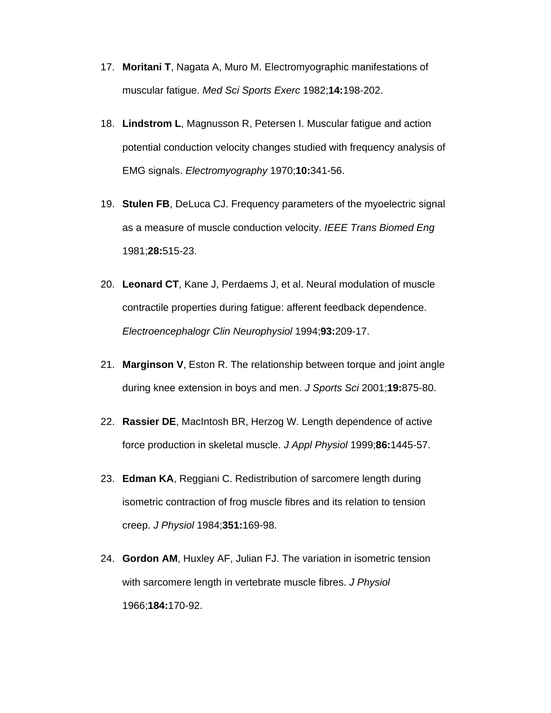- 17. **Moritani T**, Nagata A, Muro M. Electromyographic manifestations of muscular fatigue. *Med Sci Sports Exerc* 1982;**14:**198-202.
- 18. **Lindstrom L**, Magnusson R, Petersen I. Muscular fatigue and action potential conduction velocity changes studied with frequency analysis of EMG signals. *Electromyography* 1970;**10:**341-56.
- 19. **Stulen FB**, DeLuca CJ. Frequency parameters of the myoelectric signal as a measure of muscle conduction velocity. *IEEE Trans Biomed Eng*  1981;**28:**515-23.
- 20. **Leonard CT**, Kane J, Perdaems J, et al. Neural modulation of muscle contractile properties during fatigue: afferent feedback dependence. *Electroencephalogr Clin Neurophysiol* 1994;**93:**209-17.
- 21. **Marginson V**, Eston R. The relationship between torque and joint angle during knee extension in boys and men. *J Sports Sci* 2001;**19:**875-80.
- 22. **Rassier DE**, MacIntosh BR, Herzog W. Length dependence of active force production in skeletal muscle. *J Appl Physiol* 1999;**86:**1445-57.
- 23. **Edman KA**, Reggiani C. Redistribution of sarcomere length during isometric contraction of frog muscle fibres and its relation to tension creep. *J Physiol* 1984;**351:**169-98.
- 24. **Gordon AM**, Huxley AF, Julian FJ. The variation in isometric tension with sarcomere length in vertebrate muscle fibres. *J Physiol*  1966;**184:**170-92.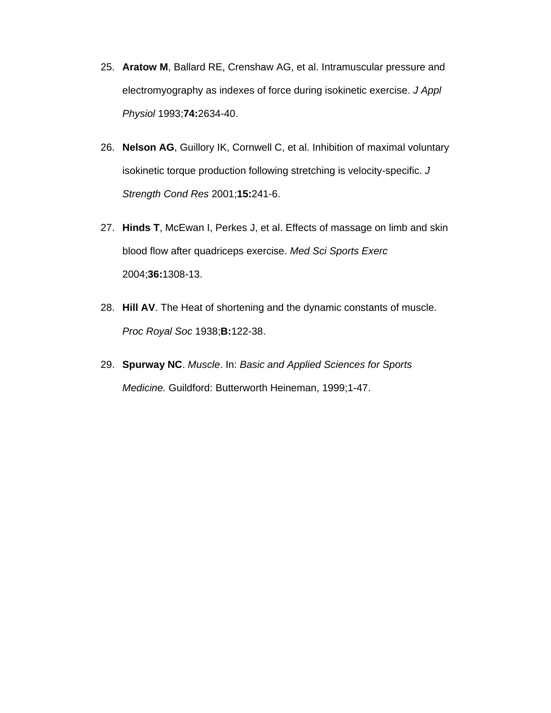- 25. **Aratow M**, Ballard RE, Crenshaw AG, et al. Intramuscular pressure and electromyography as indexes of force during isokinetic exercise. *J Appl Physiol* 1993;**74:**2634-40.
- 26. **Nelson AG**, Guillory IK, Cornwell C, et al. Inhibition of maximal voluntary isokinetic torque production following stretching is velocity-specific. *J Strength Cond Res* 2001;**15:**241-6.
- 27. **Hinds T**, McEwan I, Perkes J, et al. Effects of massage on limb and skin blood flow after quadriceps exercise. *Med Sci Sports Exerc*  2004;**36:**1308-13.
- 28. **Hill AV**. The Heat of shortening and the dynamic constants of muscle. *Proc Royal Soc* 1938;**B:**122-38.
- 29. **Spurway NC**. *Muscle*. In: *Basic and Applied Sciences for Sports Medicine.* Guildford: Butterworth Heineman, 1999;1-47.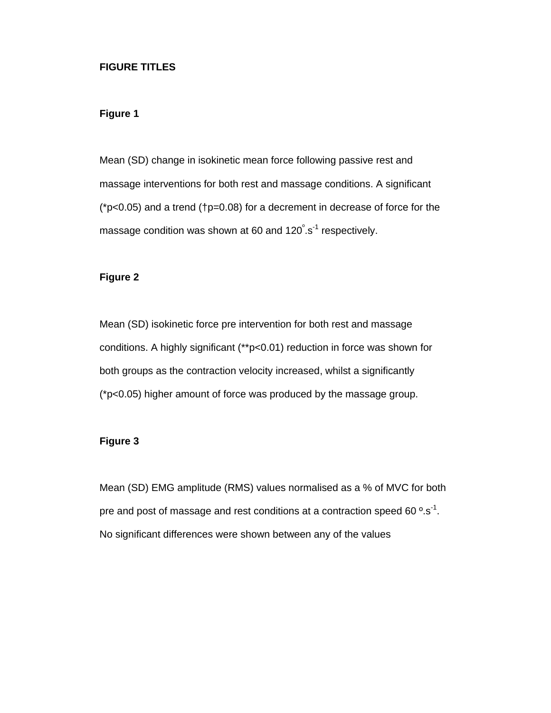### **FIGURE TITLES**

# **Figure 1**

Mean (SD) change in isokinetic mean force following passive rest and massage interventions for both rest and massage conditions. A significant (\*p<0.05) and a trend (†p=0.08) for a decrement in decrease of force for the massage condition was shown at 60 and 120°.s<sup>-1</sup> respectively.

# **Figure 2**

Mean (SD) isokinetic force pre intervention for both rest and massage conditions. A highly significant (\*\*p<0.01) reduction in force was shown for both groups as the contraction velocity increased, whilst a significantly (\*p<0.05) higher amount of force was produced by the massage group.

# **Figure 3**

Mean (SD) EMG amplitude (RMS) values normalised as a % of MVC for both pre and post of massage and rest conditions at a contraction speed 60 $\degree$ .s<sup>-1</sup>. No significant differences were shown between any of the values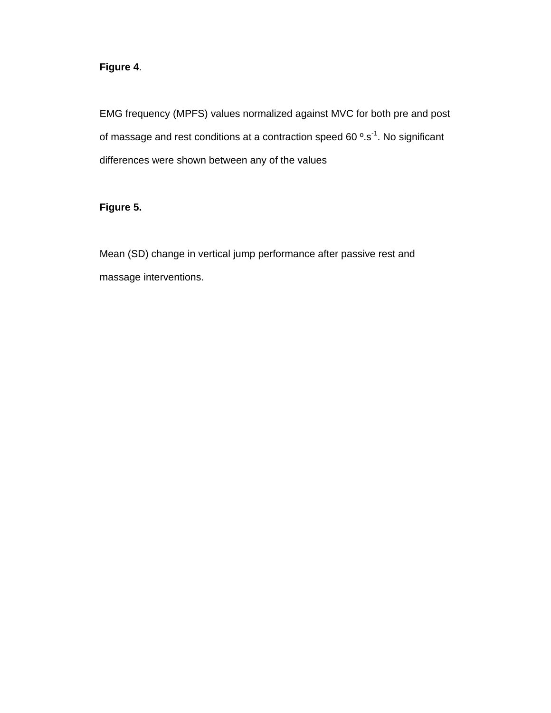# **Figure 4**.

EMG frequency (MPFS) values normalized against MVC for both pre and post of massage and rest conditions at a contraction speed 60 °.s<sup>-1</sup>. No significant differences were shown between any of the values

# **Figure 5.**

Mean (SD) change in vertical jump performance after passive rest and massage interventions.